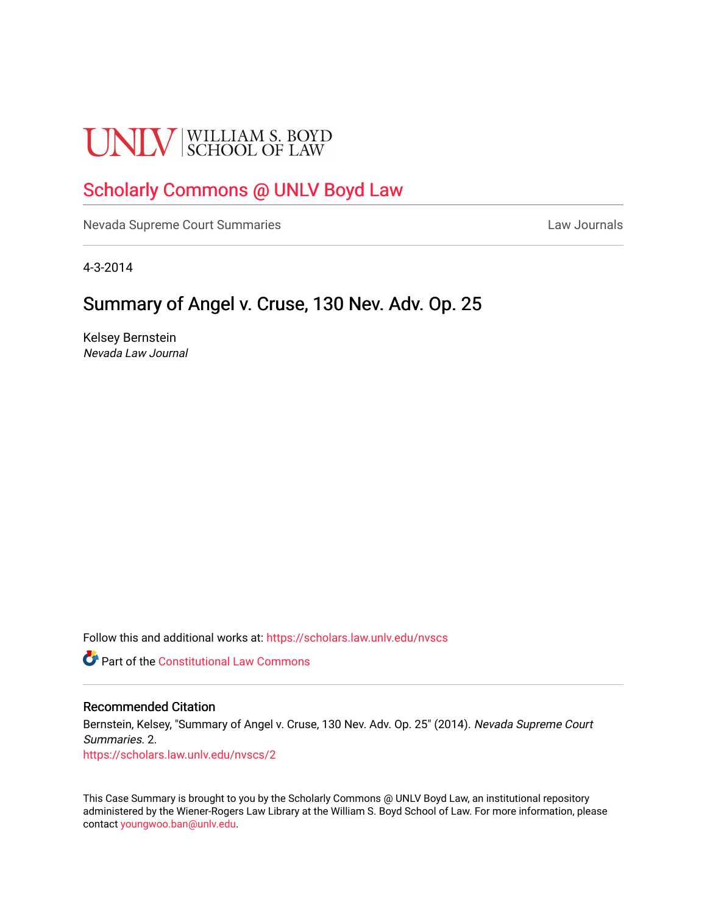# **UNLV** SCHOOL OF LAW

# [Scholarly Commons @ UNLV Boyd Law](https://scholars.law.unlv.edu/)

[Nevada Supreme Court Summaries](https://scholars.law.unlv.edu/nvscs) **Law Journals** Law Journals

4-3-2014

# Summary of Angel v. Cruse, 130 Nev. Adv. Op. 25

Kelsey Bernstein Nevada Law Journal

Follow this and additional works at: [https://scholars.law.unlv.edu/nvscs](https://scholars.law.unlv.edu/nvscs?utm_source=scholars.law.unlv.edu%2Fnvscs%2F2&utm_medium=PDF&utm_campaign=PDFCoverPages)

**Part of the Constitutional Law Commons** 

#### Recommended Citation

Bernstein, Kelsey, "Summary of Angel v. Cruse, 130 Nev. Adv. Op. 25" (2014). Nevada Supreme Court Summaries. 2.

[https://scholars.law.unlv.edu/nvscs/2](https://scholars.law.unlv.edu/nvscs/2?utm_source=scholars.law.unlv.edu%2Fnvscs%2F2&utm_medium=PDF&utm_campaign=PDFCoverPages) 

This Case Summary is brought to you by the Scholarly Commons @ UNLV Boyd Law, an institutional repository administered by the Wiener-Rogers Law Library at the William S. Boyd School of Law. For more information, please contact [youngwoo.ban@unlv.edu](mailto:youngwoo.ban@unlv.edu).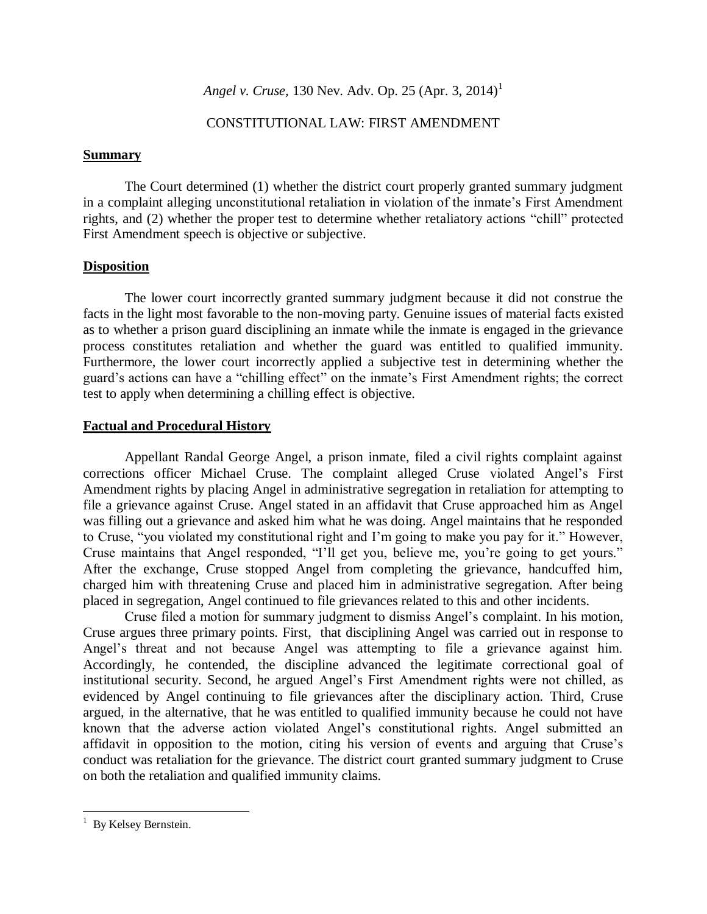## CONSTITUTIONAL LAW: FIRST AMENDMENT

#### **Summary**

The Court determined (1) whether the district court properly granted summary judgment in a complaint alleging unconstitutional retaliation in violation of the inmate's First Amendment rights, and (2) whether the proper test to determine whether retaliatory actions "chill" protected First Amendment speech is objective or subjective.

#### **Disposition**

The lower court incorrectly granted summary judgment because it did not construe the facts in the light most favorable to the non-moving party. Genuine issues of material facts existed as to whether a prison guard disciplining an inmate while the inmate is engaged in the grievance process constitutes retaliation and whether the guard was entitled to qualified immunity. Furthermore, the lower court incorrectly applied a subjective test in determining whether the guard's actions can have a "chilling effect" on the inmate's First Amendment rights; the correct test to apply when determining a chilling effect is objective.

#### **Factual and Procedural History**

Appellant Randal George Angel, a prison inmate, filed a civil rights complaint against corrections officer Michael Cruse. The complaint alleged Cruse violated Angel's First Amendment rights by placing Angel in administrative segregation in retaliation for attempting to file a grievance against Cruse. Angel stated in an affidavit that Cruse approached him as Angel was filling out a grievance and asked him what he was doing. Angel maintains that he responded to Cruse, "you violated my constitutional right and I'm going to make you pay for it." However, Cruse maintains that Angel responded, "I'll get you, believe me, you're going to get yours." After the exchange, Cruse stopped Angel from completing the grievance, handcuffed him, charged him with threatening Cruse and placed him in administrative segregation. After being placed in segregation, Angel continued to file grievances related to this and other incidents.

Cruse filed a motion for summary judgment to dismiss Angel's complaint. In his motion, Cruse argues three primary points. First, that disciplining Angel was carried out in response to Angel's threat and not because Angel was attempting to file a grievance against him. Accordingly, he contended, the discipline advanced the legitimate correctional goal of institutional security. Second, he argued Angel's First Amendment rights were not chilled, as evidenced by Angel continuing to file grievances after the disciplinary action. Third, Cruse argued, in the alternative, that he was entitled to qualified immunity because he could not have known that the adverse action violated Angel's constitutional rights. Angel submitted an affidavit in opposition to the motion, citing his version of events and arguing that Cruse's conduct was retaliation for the grievance. The district court granted summary judgment to Cruse on both the retaliation and qualified immunity claims.

 $\overline{\phantom{a}}$ 

 $1$  By Kelsey Bernstein.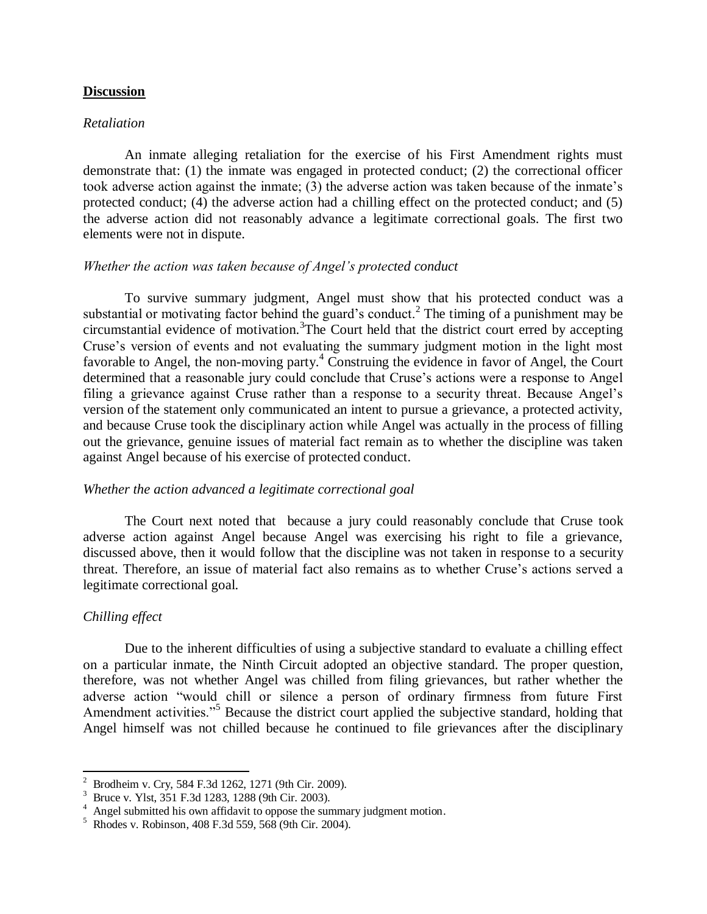#### **Discussion**

#### *Retaliation*

An inmate alleging retaliation for the exercise of his First Amendment rights must demonstrate that: (1) the inmate was engaged in protected conduct; (2) the correctional officer took adverse action against the inmate; (3) the adverse action was taken because of the inmate's protected conduct; (4) the adverse action had a chilling effect on the protected conduct; and (5) the adverse action did not reasonably advance a legitimate correctional goals. The first two elements were not in dispute.

## *Whether the action was taken because of Angel's protected conduct*

To survive summary judgment, Angel must show that his protected conduct was a substantial or motivating factor behind the guard's conduct.<sup>2</sup> The timing of a punishment may be circumstantial evidence of motivation.<sup>3</sup>The Court held that the district court erred by accepting Cruse's version of events and not evaluating the summary judgment motion in the light most favorable to Angel, the non-moving party.<sup>4</sup> Construing the evidence in favor of Angel, the Court determined that a reasonable jury could conclude that Cruse's actions were a response to Angel filing a grievance against Cruse rather than a response to a security threat. Because Angel's version of the statement only communicated an intent to pursue a grievance, a protected activity, and because Cruse took the disciplinary action while Angel was actually in the process of filling out the grievance, genuine issues of material fact remain as to whether the discipline was taken against Angel because of his exercise of protected conduct.

#### *Whether the action advanced a legitimate correctional goal*

The Court next noted that because a jury could reasonably conclude that Cruse took adverse action against Angel because Angel was exercising his right to file a grievance, discussed above, then it would follow that the discipline was not taken in response to a security threat. Therefore, an issue of material fact also remains as to whether Cruse's actions served a legitimate correctional goal.

#### *Chilling effect*

 $\overline{\phantom{a}}$ 

Due to the inherent difficulties of using a subjective standard to evaluate a chilling effect on a particular inmate, the Ninth Circuit adopted an objective standard. The proper question, therefore, was not whether Angel was chilled from filing grievances, but rather whether the adverse action "would chill or silence a person of ordinary firmness from future First Amendment activities."<sup>5</sup> Because the district court applied the subjective standard, holding that Angel himself was not chilled because he continued to file grievances after the disciplinary

<sup>&</sup>lt;sup>2</sup> Brodheim v. Cry, 584 F.3d 1262, 1271 (9th Cir. 2009).

<sup>3</sup> Bruce v. Ylst, 351 F.3d 1283, 1288 (9th Cir. 2003).

<sup>&</sup>lt;sup>4</sup> Angel submitted his own affidavit to oppose the summary judgment motion.

<sup>5</sup> Rhodes v. Robinson, 408 F.3d 559, 568 (9th Cir. 2004).